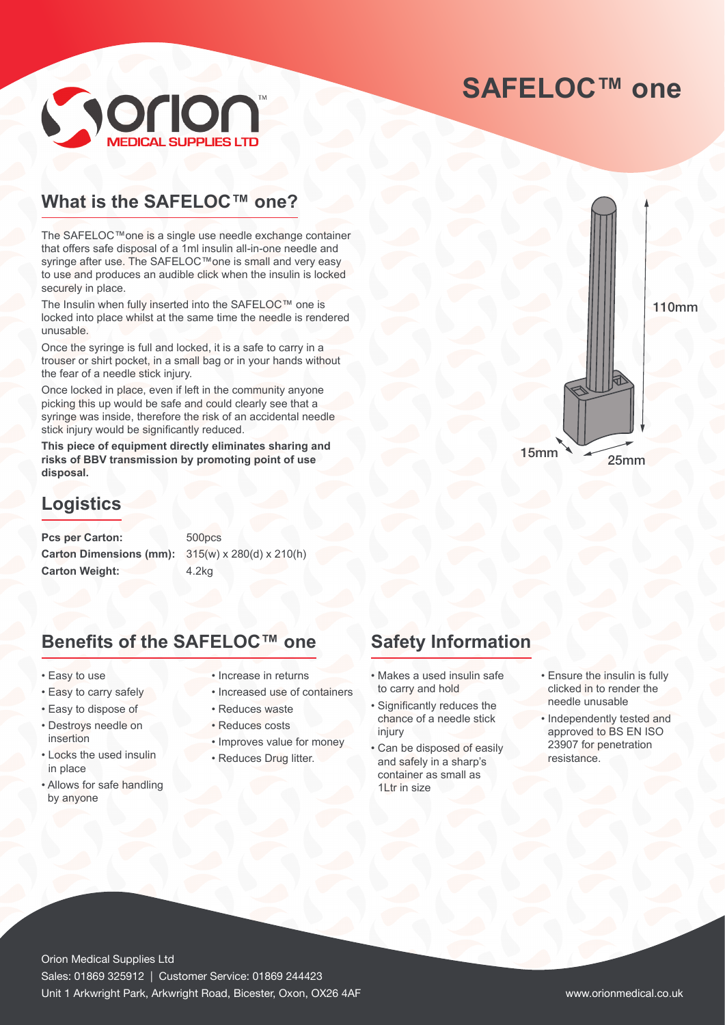# **SAFELOC™ one**



### **What is the SAFELOC™ one?**

The SAFELOC™one is a single use needle exchange container that offers safe disposal of a 1ml insulin all-in-one needle and syringe after use. The SAFELOC™one is small and very easy to use and produces an audible click when the insulin is locked securely in place.

The Insulin when fully inserted into the SAFELOC™ one is locked into place whilst at the same time the needle is rendered unusable.

Once the syringe is full and locked, it is a safe to carry in a trouser or shirt pocket, in a small bag or in your hands without the fear of a needle stick injury.

Once locked in place, even if left in the community anyone picking this up would be safe and could clearly see that a syringe was inside, therefore the risk of an accidental needle stick injury would be significantly reduced.

**This piece of equipment directly eliminates sharing and risks of BBV transmission by promoting point of use disposal.**

#### **Logistics**

Pcs per Carton: 500pcs **Carton Dimensions (mm):** 315(w) x 280(d) x 210(h) Carton Weight: 4.2kg

#### **Benefits of the SAFELOC™ one**

- Easy to use
- Easy to carry safely
- Easy to dispose of
- Destroys needle on insertion
- Locks the used insulin in place
- Allows for safe handling by anyone
- Increase in returns
- Increased use of containers
- Reduces waste
- Reduces costs
- Improves value for money
- Reduces Drug litter.



110mm

### **Safety Information**

- Makes a used insulin safe to carry and hold
- Significantly reduces the chance of a needle stick injury
- Can be disposed of easily and safely in a sharp's container as small as 1Ltr in size
- Ensure the insulin is fully clicked in to render the needle unusable
- Independently tested and approved to BS EN ISO 23907 for penetration resistance.

Orion Medical Supplies Ltd Sales: 01869 325912 | Customer Service: 01869 244423 Unit 1 Arkwright Park, Arkwright Road, Bicester, Oxon, OX26 4AF